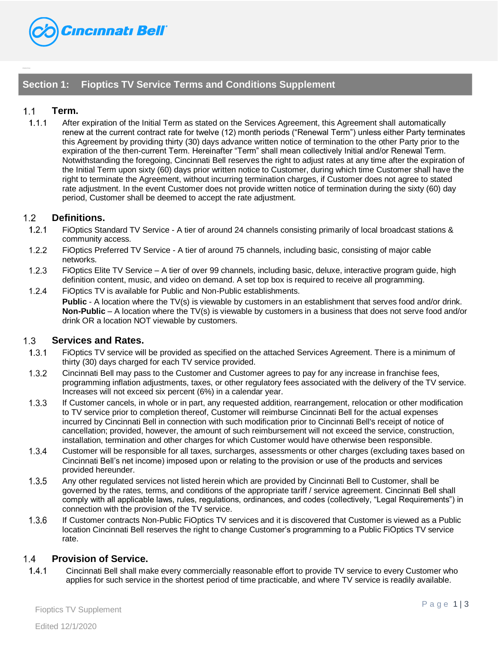

# **Section 1: Fioptics TV Service Terms and Conditions Supplement**

# $1.1$ **Term.**

 $1.1.1$ After expiration of the Initial Term as stated on the Services Agreement, this Agreement shall automatically renew at the current contract rate for twelve (12) month periods ("Renewal Term") unless either Party terminates this Agreement by providing thirty (30) days advance written notice of termination to the other Party prior to the expiration of the then-current Term. Hereinafter "Term" shall mean collectively Initial and/or Renewal Term. Notwithstanding the foregoing, Cincinnati Bell reserves the right to adjust rates at any time after the expiration of the Initial Term upon sixty (60) days prior written notice to Customer, during which time Customer shall have the right to terminate the Agreement, without incurring termination charges, if Customer does not agree to stated rate adjustment. In the event Customer does not provide written notice of termination during the sixty (60) day period, Customer shall be deemed to accept the rate adjustment.

# $1.2$ **Definitions.**

- $1.2.1$ FiOptics Standard TV Service - A tier of around 24 channels consisting primarily of local broadcast stations & community access.
- $1.2.2$ FiOptics Preferred TV Service - A tier of around 75 channels, including basic, consisting of major cable networks.
- $1.2.3$ FiOptics Elite TV Service – A tier of over 99 channels, including basic, deluxe, interactive program guide, high definition content, music, and video on demand. A set top box is required to receive all programming.
- $1.2.4$ FiOptics TV is available for Public and Non-Public establishments. **Public** - A location where the TV(s) is viewable by customers in an establishment that serves food and/or drink. **Non-Public** – A location where the TV(s) is viewable by customers in a business that does not serve food and/or drink OR a location NOT viewable by customers.

#### $1.3$ **Services and Rates.**

- FiOptics TV service will be provided as specified on the attached Services Agreement. There is a minimum of  $1.3.1$ thirty (30) days charged for each TV service provided.
- $1.3.2$ Cincinnati Bell may pass to the Customer and Customer agrees to pay for any increase in franchise fees, programming inflation adjustments, taxes, or other regulatory fees associated with the delivery of the TV service. Increases will not exceed six percent (6%) in a calendar year.
- $1.3.3$ If Customer cancels, in whole or in part, any requested addition, rearrangement, relocation or other modification to TV service prior to completion thereof, Customer will reimburse Cincinnati Bell for the actual expenses incurred by Cincinnati Bell in connection with such modification prior to Cincinnati Bell's receipt of notice of cancellation; provided, however, the amount of such reimbursement will not exceed the service, construction, installation, termination and other charges for which Customer would have otherwise been responsible.
- $1.3.4$ Customer will be responsible for all taxes, surcharges, assessments or other charges (excluding taxes based on Cincinnati Bell's net income) imposed upon or relating to the provision or use of the products and services provided hereunder.
- $1.3.5$ Any other regulated services not listed herein which are provided by Cincinnati Bell to Customer, shall be governed by the rates, terms, and conditions of the appropriate tariff / service agreement. Cincinnati Bell shall comply with all applicable laws, rules, regulations, ordinances, and codes (collectively, "Legal Requirements") in connection with the provision of the TV service.
- 1.3.6 If Customer contracts Non-Public FiOptics TV services and it is discovered that Customer is viewed as a Public location Cincinnati Bell reserves the right to change Customer's programming to a Public FiOptics TV service rate.

# $1.4$ **Provision of Service.**

 $1.4.1$ Cincinnati Bell shall make every commercially reasonable effort to provide TV service to every Customer who applies for such service in the shortest period of time practicable, and where TV service is readily available.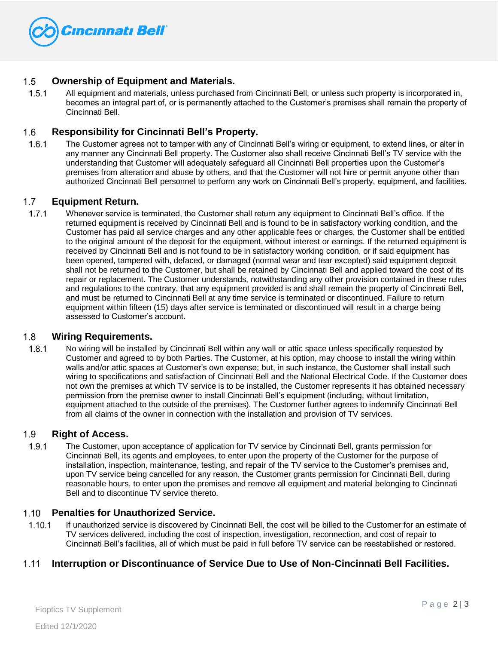

# $1.5$ **Ownership of Equipment and Materials.**

 $1.5.1$ All equipment and materials, unless purchased from Cincinnati Bell, or unless such property is incorporated in, becomes an integral part of, or is permanently attached to the Customer's premises shall remain the property of Cincinnati Bell.

# 1.6 **Responsibility for Cincinnati Bell's Property.**

 $1.6.1$ The Customer agrees not to tamper with any of Cincinnati Bell's wiring or equipment, to extend lines, or alter in any manner any Cincinnati Bell property. The Customer also shall receive Cincinnati Bell's TV service with the understanding that Customer will adequately safeguard all Cincinnati Bell properties upon the Customer's premises from alteration and abuse by others, and that the Customer will not hire or permit anyone other than authorized Cincinnati Bell personnel to perform any work on Cincinnati Bell's property, equipment, and facilities.

# $1.7$ **Equipment Return.**

 $1.7.1$ Whenever service is terminated, the Customer shall return any equipment to Cincinnati Bell's office. If the returned equipment is received by Cincinnati Bell and is found to be in satisfactory working condition, and the Customer has paid all service charges and any other applicable fees or charges, the Customer shall be entitled to the original amount of the deposit for the equipment, without interest or earnings. If the returned equipment is received by Cincinnati Bell and is not found to be in satisfactory working condition, or if said equipment has been opened, tampered with, defaced, or damaged (normal wear and tear excepted) said equipment deposit shall not be returned to the Customer, but shall be retained by Cincinnati Bell and applied toward the cost of its repair or replacement. The Customer understands, notwithstanding any other provision contained in these rules and regulations to the contrary, that any equipment provided is and shall remain the property of Cincinnati Bell, and must be returned to Cincinnati Bell at any time service is terminated or discontinued. Failure to return equipment within fifteen (15) days after service is terminated or discontinued will result in a charge being assessed to Customer's account.

#### $1.8$ **Wiring Requirements.**

 $1.8.1$ No wiring will be installed by Cincinnati Bell within any wall or attic space unless specifically requested by Customer and agreed to by both Parties. The Customer, at his option, may choose to install the wiring within walls and/or attic spaces at Customer's own expense; but, in such instance, the Customer shall install such wiring to specifications and satisfaction of Cincinnati Bell and the National Electrical Code. If the Customer does not own the premises at which TV service is to be installed, the Customer represents it has obtained necessary permission from the premise owner to install Cincinnati Bell's equipment (including, without limitation, equipment attached to the outside of the premises). The Customer further agrees to indemnify Cincinnati Bell from all claims of the owner in connection with the installation and provision of TV services.

#### 1.9 **Right of Access.**

 $1.9.1$ The Customer, upon acceptance of application for TV service by Cincinnati Bell, grants permission for Cincinnati Bell, its agents and employees, to enter upon the property of the Customer for the purpose of installation, inspection, maintenance, testing, and repair of the TV service to the Customer's premises and, upon TV service being cancelled for any reason, the Customer grants permission for Cincinnati Bell, during reasonable hours, to enter upon the premises and remove all equipment and material belonging to Cincinnati Bell and to discontinue TV service thereto.

#### $1.10$ **Penalties for Unauthorized Service.**

 $1.10.1$ If unauthorized service is discovered by Cincinnati Bell, the cost will be billed to the Customer for an estimate of TV services delivered, including the cost of inspection, investigation, reconnection, and cost of repair to Cincinnati Bell's facilities, all of which must be paid in full before TV service can be reestablished or restored.

#### $1.11$ **Interruption or Discontinuance of Service Due to Use of Non-Cincinnati Bell Facilities.**